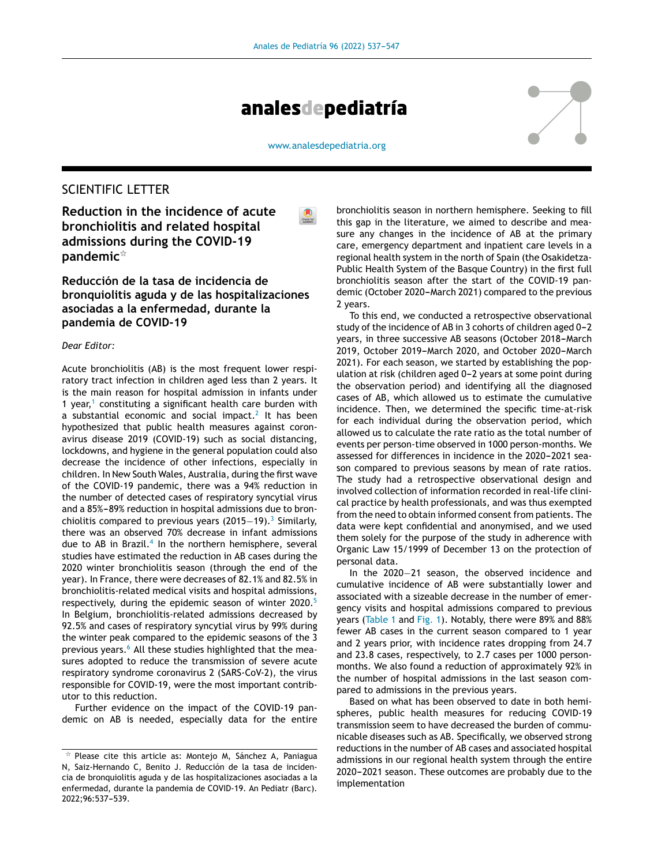

[www.analesdepediatria.org](http://www.analesdepediatria.org)

# SCIENTIFIC LETTER

**Reduction in the incidence of acute bronchiolitis and related hospital admissions during the COVID-19 pandemic**-

**Reducción de la tasa de incidencia de bronquiolitis aguda y de las hospitalizaciones asociadas a la enfermedad, durante la pandemia de COVID-19**

### *Dear Editor:*

Acute bronchiolitis (AB) is the most frequent lower respiratory tract infection in children aged less than 2 years. It is the main reason for hospital admission in infants under [1](#page-2-0) year, $1$  constituting a significant health care burden with a substantial economic and social impact.<sup>[2](#page-2-0)</sup> It has been hypothesized that public health measures against coronavirus disease 2019 (COVID-19) such as social distancing, lockdowns, and hygiene in the general population could also decrease the incidence of other infections, especially in children. In New South Wales, Australia, during the first wave of the COVID-19 pandemic, there was a 94% reduction in the number of detected cases of respiratory syncytial virus and a 85%-89% reduction in hospital admissions due to bronchiolitis compared to previous years (2015 $-$ 19).<sup>[3](#page-2-0)</sup> Similarly, there was an observed 70% decrease in infant admissions due to AB in Brazil.<sup>[4](#page-2-0)</sup> In the northern hemisphere, several studies have estimated the reduction in AB cases during the 2020 winter bronchiolitis season (through the end of the year). In France, there were decreases of 82.1% and 82.5% in bronchiolitis-related medical visits and hospital admissions, respectively, during the epidemic season of winter 2020.<sup>[5](#page-2-0)</sup> In Belgium, bronchiolitis-related admissions decreased by 92.5% and cases of respiratory syncytial virus by 99% during the winter peak compared to the epidemic seasons of the 3 previous years.<sup>[6](#page-2-0)</sup> All these studies highlighted that the measures adopted to reduce the transmission of severe acute respiratory syndrome coronavirus 2 (SARS-CoV-2), the virus responsible for COVID-19, were the most important contributor to this reduction.

Further evidence on the impact of the COVID-19 pandemic on AB is needed, especially data for the entire

bronchiolitis season in northern hemisphere. Seeking to fill this gap in the literature, we aimed to describe and measure any changes in the incidence of AB at the primary care, emergency department and inpatient care levels in a regional health system in the north of Spain (the Osakidetza-Public Health System of the Basque Country) in the first full bronchiolitis season after the start of the COVID-19 pandemic (October 2020-March 2021) compared to the previous 2 years.

To this end, we conducted a retrospective observational study of the incidence of AB in 3 cohorts of children aged 0-2 years, in three successive AB seasons (October 2018-March 2019, October 2019-March 2020, and October 2020-March 2021). For each season, we started by establishing the population at risk (children aged 0-2 years at some point during the observation period) and identifying all the diagnosed cases of AB, which allowed us to estimate the cumulative incidence. Then, we determined the specific time-at-risk for each individual during the observation period, which allowed us to calculate the rate ratio as the total number of events per person-time observed in 1000 person-months. We assessed for differences in incidence in the 2020-2021 season compared to previous seasons by mean of rate ratios. The study had a retrospective observational design and involved collection of information recorded in real-life clinical practice by health professionals, and was thus exempted from the need to obtain informed consent from patients. The data were kept confidential and anonymised, and we used them solely for the purpose of the study in adherence with Organic Law 15/1999 of December 13 on the protection of personal data.

In the 2020−21 season, the observed incidence and cumulative incidence of AB were substantially lower and associated with a sizeable decrease in the number of emergency visits and hospital admissions compared to previous years ([Table](#page-1-0) 1 and [Fig.](#page-2-0) 1). Notably, there were 89% and 88% fewer AB cases in the current season compared to 1 year and 2 years prior, with incidence rates dropping from 24.7 and 23.8 cases, respectively, to 2.7 cases per 1000 personmonths. We also found a reduction of approximately 92% in the number of hospital admissions in the last season compared to admissions in the previous years.

Based on what has been observed to date in both hemispheres, public health measures for reducing COVID-19 transmission seem to have decreased the burden of communicable diseases such as AB. Specifically, we observed strong reductions in the number of AB cases and associated hospital admissions in our regional health system through the entire 2020-2021 season. These outcomes are probably due to the implementation

 $\overline{\mathbf{x}}$  Please cite this article as: Montejo M, Sánchez A, Paniagua N, Saiz-Hernando C, Benito J. Reducción de la tasa de incidencia de bronquiolitis aguda y de las hospitalizaciones asociadas a la enfermedad, durante la pandemia de COVID-19. An Pediatr (Barc). 2022;96:537-539.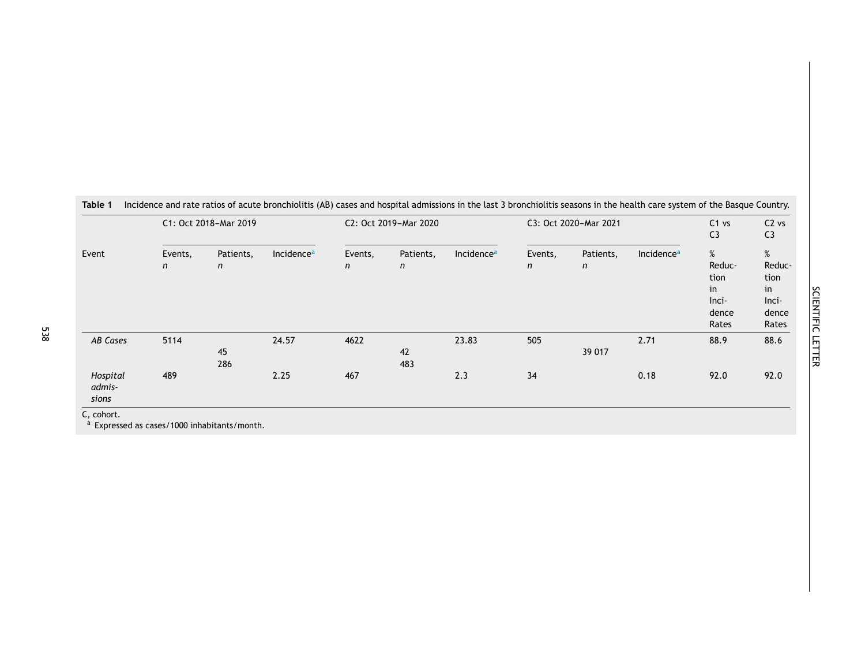<span id="page-1-0"></span>

| Event                                     | C1: Oct 2018-Mar 2019   |                |                        | C2: Oct 2019-Mar 2020 |                |                        | C3: Oct 2020-Mar 2021 |                           |                        | $C1$ vs<br>C <sub>3</sub>                            | $C2$ vs<br>C <sub>3</sub>                            |
|-------------------------------------------|-------------------------|----------------|------------------------|-----------------------|----------------|------------------------|-----------------------|---------------------------|------------------------|------------------------------------------------------|------------------------------------------------------|
|                                           | Events,<br>$\mathsf{n}$ | Patients,<br>n | Incidence <sup>a</sup> | Events,<br>n          | Patients,<br>n | Incidence <sup>a</sup> | Events,<br>n          | Patients,<br>$\mathsf{n}$ | Incidence <sup>a</sup> | %<br>Reduc-<br>tion<br>in<br>Inci-<br>dence<br>Rates | %<br>Reduc-<br>tion<br>in<br>Inci-<br>dence<br>Rates |
| AB Cases                                  | 5114                    | 45<br>286      | 24.57                  | 4622                  | 42<br>483      | 23.83                  | 505                   | 39 017                    | 2.71                   | 88.9                                                 | 88.6                                                 |
| Hospital<br>admis-<br>sions<br>C, cohort. | 489                     |                | 2.25                   | 467                   |                | 2.3                    | 34                    |                           | 0.18                   | 92.0                                                 | 92.0                                                 |

<sup>a</sup> Expressed as cases/1000 inhabitants/month.